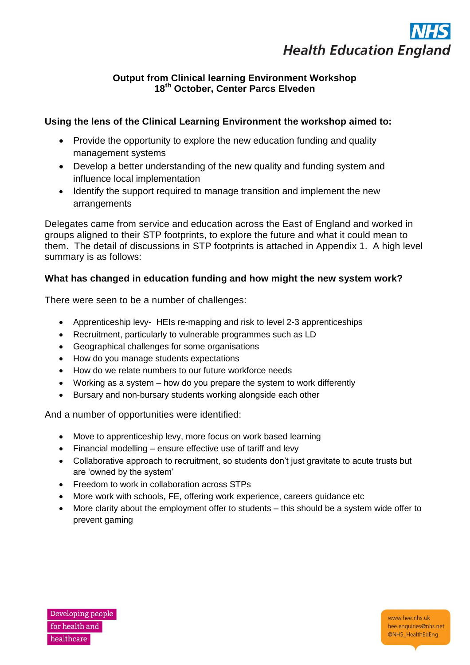

# **Output from Clinical learning Environment Workshop 18th October, Center Parcs Elveden**

### **Using the lens of the Clinical Learning Environment the workshop aimed to:**

- Provide the opportunity to explore the new education funding and quality management systems
- Develop a better understanding of the new quality and funding system and influence local implementation
- Identify the support required to manage transition and implement the new arrangements

Delegates came from service and education across the East of England and worked in groups aligned to their STP footprints, to explore the future and what it could mean to them. The detail of discussions in STP footprints is attached in Appendix 1. A high level summary is as follows:

### **What has changed in education funding and how might the new system work?**

There were seen to be a number of challenges:

- Apprenticeship levy- HEIs re-mapping and risk to level 2-3 apprenticeships
- Recruitment, particularly to vulnerable programmes such as LD
- Geographical challenges for some organisations
- How do you manage students expectations
- How do we relate numbers to our future workforce needs
- Working as a system how do you prepare the system to work differently
- Bursary and non-bursary students working alongside each other

And a number of opportunities were identified:

- Move to apprenticeship levy, more focus on work based learning
- Financial modelling ensure effective use of tariff and levy
- Collaborative approach to recruitment, so students don't just gravitate to acute trusts but are 'owned by the system'
- Freedom to work in collaboration across STPs
- More work with schools, FE, offering work experience, careers guidance etc
- More clarity about the employment offer to students this should be a system wide offer to prevent gaming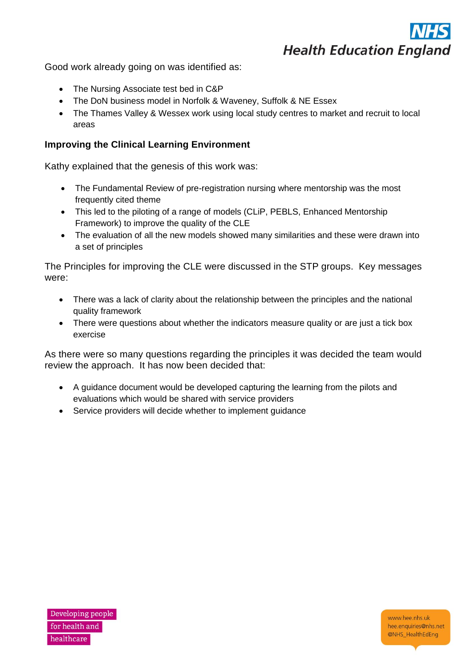

Good work already going on was identified as:

- The Nursing Associate test bed in C&P
- The DoN business model in Norfolk & Waveney, Suffolk & NE Essex
- The Thames Valley & Wessex work using local study centres to market and recruit to local areas

# **Improving the Clinical Learning Environment**

Kathy explained that the genesis of this work was:

- The Fundamental Review of pre-registration nursing where mentorship was the most frequently cited theme
- This led to the piloting of a range of models (CLiP, PEBLS, Enhanced Mentorship Framework) to improve the quality of the CLE
- The evaluation of all the new models showed many similarities and these were drawn into a set of principles

The Principles for improving the CLE were discussed in the STP groups. Key messages were:

- There was a lack of clarity about the relationship between the principles and the national quality framework
- There were questions about whether the indicators measure quality or are just a tick box exercise

As there were so many questions regarding the principles it was decided the team would review the approach. It has now been decided that:

- A guidance document would be developed capturing the learning from the pilots and evaluations which would be shared with service providers
- Service providers will decide whether to implement guidance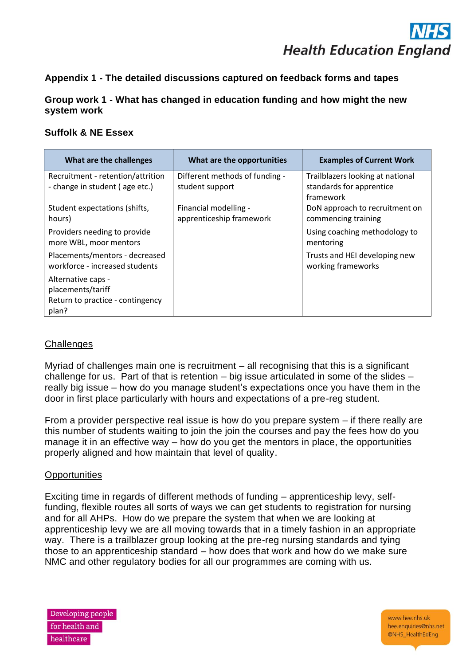# **Appendix 1 - The detailed discussions captured on feedback forms and tapes**

**Group work 1 - What has changed in education funding and how might the new system work**

# **Suffolk & NE Essex**

| What are the challenges                                                              | What are the opportunities                        | <b>Examples of Current Work</b>                                    |
|--------------------------------------------------------------------------------------|---------------------------------------------------|--------------------------------------------------------------------|
| Recruitment - retention/attrition<br>- change in student (age etc.)                  | Different methods of funding -<br>student support | Trailblazers looking at national<br>standards for apprentice       |
| Student expectations (shifts,<br>hours)                                              | Financial modelling -<br>apprenticeship framework | framework<br>DoN approach to recruitment on<br>commencing training |
| Providers needing to provide<br>more WBL, moor mentors                               |                                                   | Using coaching methodology to<br>mentoring                         |
| Placements/mentors - decreased<br>workforce - increased students                     |                                                   | Trusts and HEI developing new<br>working frameworks                |
| Alternative caps -<br>placements/tariff<br>Return to practice - contingency<br>plan? |                                                   |                                                                    |

# **Challenges**

Myriad of challenges main one is recruitment – all recognising that this is a significant challenge for us. Part of that is retention – big issue articulated in some of the slides – really big issue – how do you manage student's expectations once you have them in the door in first place particularly with hours and expectations of a pre-reg student.

From a provider perspective real issue is how do you prepare system – if there really are this number of students waiting to join the join the courses and pay the fees how do you manage it in an effective way – how do you get the mentors in place, the opportunities properly aligned and how maintain that level of quality.

### **Opportunities**

Exciting time in regards of different methods of funding – apprenticeship levy, selffunding, flexible routes all sorts of ways we can get students to registration for nursing and for all AHPs. How do we prepare the system that when we are looking at apprenticeship levy we are all moving towards that in a timely fashion in an appropriate way. There is a trailblazer group looking at the pre-reg nursing standards and tying those to an apprenticeship standard – how does that work and how do we make sure NMC and other regulatory bodies for all our programmes are coming with us.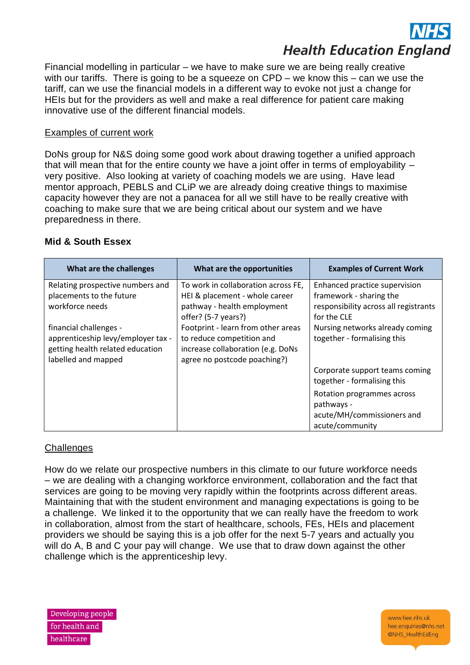Financial modelling in particular – we have to make sure we are being really creative with our tariffs. There is going to be a squeeze on CPD – we know this – can we use the tariff, can we use the financial models in a different way to evoke not just a change for HEIs but for the providers as well and make a real difference for patient care making innovative use of the different financial models.

### Examples of current work

DoNs group for N&S doing some good work about drawing together a unified approach that will mean that for the entire county we have a joint offer in terms of employability  $$ very positive. Also looking at variety of coaching models we are using. Have lead mentor approach, PEBLS and CLiP we are already doing creative things to maximise capacity however they are not a panacea for all we still have to be really creative with coaching to make sure that we are being critical about our system and we have preparedness in there.

# **Mid & South Essex**

| What are the challenges            | What are the opportunities          | <b>Examples of Current Work</b>       |
|------------------------------------|-------------------------------------|---------------------------------------|
| Relating prospective numbers and   | To work in collaboration across FE, | Enhanced practice supervision         |
| placements to the future           | HEI & placement - whole career      | framework - sharing the               |
| workforce needs                    | pathway - health employment         | responsibility across all registrants |
|                                    | offer? $(5-7 \text{ years})$        | for the CLE                           |
| financial challenges -             | Footprint - learn from other areas  | Nursing networks already coming       |
| apprenticeship levy/employer tax - | to reduce competition and           | together - formalising this           |
| getting health related education   | increase collaboration (e.g. DoNs   |                                       |
| labelled and mapped                | agree no postcode poaching?)        |                                       |
|                                    |                                     | Corporate support teams coming        |
|                                    |                                     | together - formalising this           |
|                                    |                                     | Rotation programmes across            |
|                                    |                                     | pathways -                            |
|                                    |                                     | acute/MH/commissioners and            |
|                                    |                                     | acute/community                       |

# **Challenges**

How do we relate our prospective numbers in this climate to our future workforce needs – we are dealing with a changing workforce environment, collaboration and the fact that services are going to be moving very rapidly within the footprints across different areas. Maintaining that with the student environment and managing expectations is going to be a challenge. We linked it to the opportunity that we can really have the freedom to work in collaboration, almost from the start of healthcare, schools, FEs, HEIs and placement providers we should be saying this is a job offer for the next 5-7 years and actually you will do A, B and C your pay will change. We use that to draw down against the other challenge which is the apprenticeship levy.

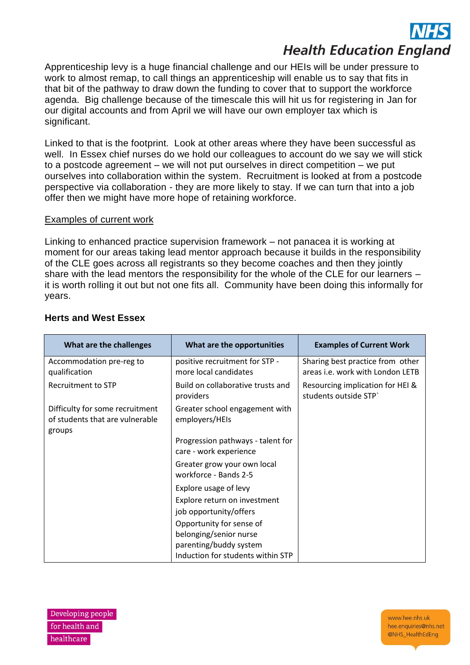Apprenticeship levy is a huge financial challenge and our HEIs will be under pressure to work to almost remap, to call things an apprenticeship will enable us to say that fits in that bit of the pathway to draw down the funding to cover that to support the workforce agenda. Big challenge because of the timescale this will hit us for registering in Jan for our digital accounts and from April we will have our own employer tax which is significant.

Linked to that is the footprint. Look at other areas where they have been successful as well. In Essex chief nurses do we hold our colleagues to account do we say we will stick to a postcode agreement – we will not put ourselves in direct competition – we put ourselves into collaboration within the system. Recruitment is looked at from a postcode perspective via collaboration - they are more likely to stay. If we can turn that into a job offer then we might have more hope of retaining workforce.

### Examples of current work

Linking to enhanced practice supervision framework – not panacea it is working at moment for our areas taking lead mentor approach because it builds in the responsibility of the CLE goes across all registrants so they become coaches and then they jointly share with the lead mentors the responsibility for the whole of the CLE for our learners – it is worth rolling it out but not one fits all. Community have been doing this informally for years.

| What are the challenges                                                      | What are the opportunities                                  | <b>Examples of Current Work</b>                                      |
|------------------------------------------------------------------------------|-------------------------------------------------------------|----------------------------------------------------------------------|
| Accommodation pre-reg to<br>qualification                                    | positive recruitment for STP -<br>more local candidates     | Sharing best practice from other<br>areas i.e. work with London LETB |
| <b>Recruitment to STP</b>                                                    | Build on collaborative trusts and<br>providers              | Resourcing implication for HEI &<br>students outside STP             |
| Difficulty for some recruitment<br>of students that are vulnerable<br>groups | Greater school engagement with<br>employers/HEIs            |                                                                      |
|                                                                              | Progression pathways - talent for<br>care - work experience |                                                                      |
|                                                                              | Greater grow your own local<br>workforce - Bands 2-5        |                                                                      |
|                                                                              | Explore usage of levy                                       |                                                                      |
|                                                                              | Explore return on investment                                |                                                                      |
|                                                                              | job opportunity/offers                                      |                                                                      |
|                                                                              | Opportunity for sense of                                    |                                                                      |
|                                                                              | belonging/senior nurse                                      |                                                                      |
|                                                                              | parenting/buddy system                                      |                                                                      |
|                                                                              | Induction for students within STP                           |                                                                      |

# **Herts and West Essex**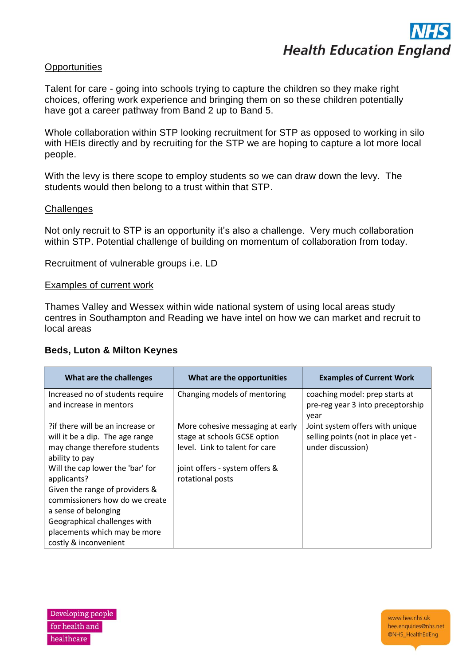

### **Opportunities**

Talent for care - going into schools trying to capture the children so they make right choices, offering work experience and bringing them on so these children potentially have got a career pathway from Band 2 up to Band 5.

Whole collaboration within STP looking recruitment for STP as opposed to working in silo with HEIs directly and by recruiting for the STP we are hoping to capture a lot more local people.

With the levy is there scope to employ students so we can draw down the levy. The students would then belong to a trust within that STP.

### **Challenges**

Not only recruit to STP is an opportunity it's also a challenge. Very much collaboration within STP. Potential challenge of building on momentum of collaboration from today.

Recruitment of vulnerable groups i.e. LD

#### Examples of current work

Thames Valley and Wessex within wide national system of using local areas study centres in Southampton and Reading we have intel on how we can market and recruit to local areas

### **Beds, Luton & Milton Keynes**

| What are the challenges                                                                                                                                                                                                              | What are the opportunities                                                                         | <b>Examples of Current Work</b>                                                            |
|--------------------------------------------------------------------------------------------------------------------------------------------------------------------------------------------------------------------------------------|----------------------------------------------------------------------------------------------------|--------------------------------------------------------------------------------------------|
| Increased no of students require<br>and increase in mentors                                                                                                                                                                          | Changing models of mentoring                                                                       | coaching model: prep starts at<br>pre-reg year 3 into preceptorship<br>year                |
| ?if there will be an increase or<br>will it be a dip. The age range<br>may change therefore students<br>ability to pay                                                                                                               | More cohesive messaging at early<br>stage at schools GCSE option<br>level. Link to talent for care | Joint system offers with unique<br>selling points (not in place yet -<br>under discussion) |
| Will the cap lower the 'bar' for<br>applicants?<br>Given the range of providers &<br>commissioners how do we create<br>a sense of belonging<br>Geographical challenges with<br>placements which may be more<br>costly & inconvenient | joint offers - system offers &<br>rotational posts                                                 |                                                                                            |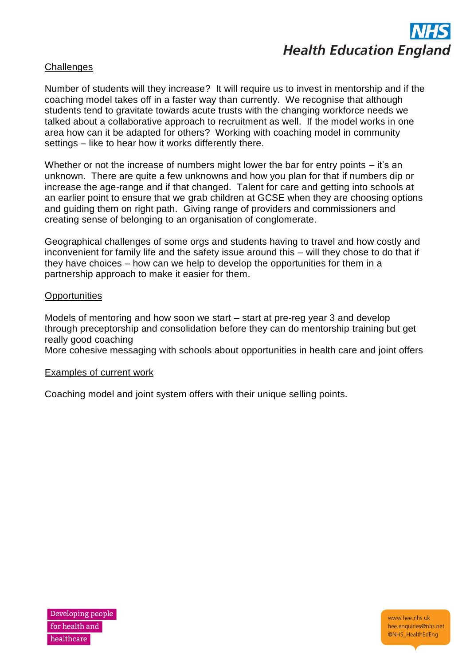

### **Challenges**

Number of students will they increase? It will require us to invest in mentorship and if the coaching model takes off in a faster way than currently. We recognise that although students tend to gravitate towards acute trusts with the changing workforce needs we talked about a collaborative approach to recruitment as well. If the model works in one area how can it be adapted for others? Working with coaching model in community settings – like to hear how it works differently there.

Whether or not the increase of numbers might lower the bar for entry points – it's an unknown. There are quite a few unknowns and how you plan for that if numbers dip or increase the age-range and if that changed. Talent for care and getting into schools at an earlier point to ensure that we grab children at GCSE when they are choosing options and guiding them on right path. Giving range of providers and commissioners and creating sense of belonging to an organisation of conglomerate.

Geographical challenges of some orgs and students having to travel and how costly and inconvenient for family life and the safety issue around this – will they chose to do that if they have choices – how can we help to develop the opportunities for them in a partnership approach to make it easier for them.

### **Opportunities**

Models of mentoring and how soon we start – start at pre-reg year 3 and develop through preceptorship and consolidation before they can do mentorship training but get really good coaching

More cohesive messaging with schools about opportunities in health care and joint offers

### Examples of current work

Coaching model and joint system offers with their unique selling points.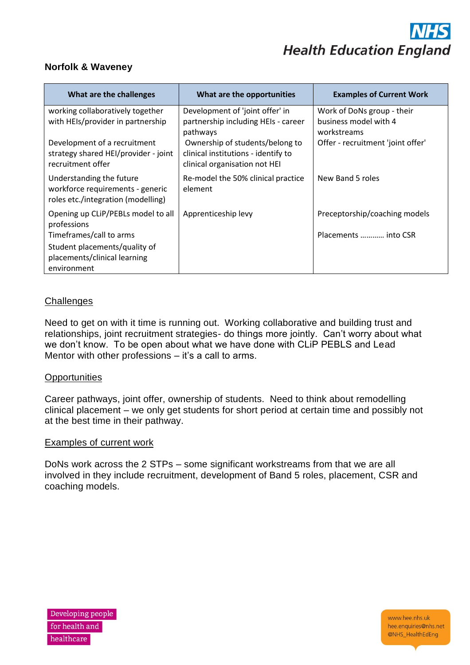

### **Norfolk & Waveney**

| What are the challenges                                                                            | What are the opportunities                                                                              | <b>Examples of Current Work</b>      |
|----------------------------------------------------------------------------------------------------|---------------------------------------------------------------------------------------------------------|--------------------------------------|
| working collaboratively together                                                                   | Development of 'joint offer' in                                                                         | Work of DoNs group - their           |
| with HEIs/provider in partnership                                                                  | partnership including HEIs - career<br>pathways                                                         | business model with 4<br>workstreams |
| Development of a recruitment<br>strategy shared HEI/provider - joint<br>recruitment offer          | Ownership of students/belong to<br>clinical institutions - identify to<br>clinical organisation not HEI | Offer - recruitment 'joint offer'    |
| Understanding the future<br>workforce requirements - generic<br>roles etc./integration (modelling) | Re-model the 50% clinical practice<br>element                                                           | New Band 5 roles                     |
| Opening up CLIP/PEBLs model to all<br>professions                                                  | Apprenticeship levy                                                                                     | Preceptorship/coaching models        |
| Timeframes/call to arms                                                                            |                                                                                                         | Placements  into CSR                 |
| Student placements/quality of                                                                      |                                                                                                         |                                      |
| placements/clinical learning                                                                       |                                                                                                         |                                      |
| environment                                                                                        |                                                                                                         |                                      |

### **Challenges**

Need to get on with it time is running out. Working collaborative and building trust and relationships, joint recruitment strategies- do things more jointly. Can't worry about what we don't know. To be open about what we have done with CLiP PEBLS and Lead Mentor with other professions – it's a call to arms.

### **Opportunities**

Career pathways, joint offer, ownership of students. Need to think about remodelling clinical placement – we only get students for short period at certain time and possibly not at the best time in their pathway.

### Examples of current work

DoNs work across the 2 STPs – some significant workstreams from that we are all involved in they include recruitment, development of Band 5 roles, placement, CSR and coaching models.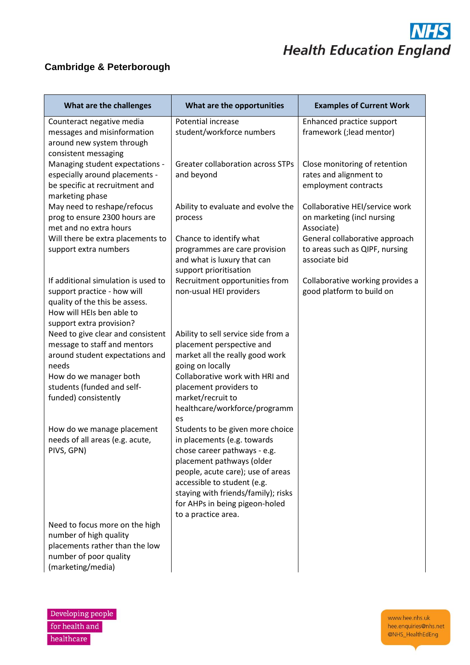# $\mathbf S$ **Health Education England**

# **Cambridge & Peterborough**

| What are the challenges                                                                                                                                       | What are the opportunities                                                                                                                                                                                                                                                | <b>Examples of Current Work</b>                                                   |
|---------------------------------------------------------------------------------------------------------------------------------------------------------------|---------------------------------------------------------------------------------------------------------------------------------------------------------------------------------------------------------------------------------------------------------------------------|-----------------------------------------------------------------------------------|
| Counteract negative media<br>messages and misinformation<br>around new system through<br>consistent messaging                                                 | Potential increase<br>student/workforce numbers                                                                                                                                                                                                                           | Enhanced practice support<br>framework (; lead mentor)                            |
| Managing student expectations -<br>especially around placements -<br>be specific at recruitment and<br>marketing phase                                        | <b>Greater collaboration across STPs</b><br>and beyond                                                                                                                                                                                                                    | Close monitoring of retention<br>rates and alignment to<br>employment contracts   |
| May need to reshape/refocus<br>prog to ensure 2300 hours are<br>met and no extra hours                                                                        | Ability to evaluate and evolve the<br>process                                                                                                                                                                                                                             | Collaborative HEI/service work<br>on marketing (incl nursing<br>Associate)        |
| Will there be extra placements to<br>support extra numbers                                                                                                    | Chance to identify what<br>programmes are care provision<br>and what is luxury that can<br>support prioritisation                                                                                                                                                         | General collaborative approach<br>to areas such as QIPF, nursing<br>associate bid |
| If additional simulation is used to<br>support practice - how will<br>quality of the this be assess.<br>How will HEIs ben able to<br>support extra provision? | Recruitment opportunities from<br>non-usual HEI providers                                                                                                                                                                                                                 | Collaborative working provides a<br>good platform to build on                     |
| Need to give clear and consistent<br>message to staff and mentors                                                                                             | Ability to sell service side from a<br>placement perspective and                                                                                                                                                                                                          |                                                                                   |
| around student expectations and<br>needs                                                                                                                      | market all the really good work<br>going on locally<br>Collaborative work with HRI and                                                                                                                                                                                    |                                                                                   |
| How do we manager both<br>students (funded and self-<br>funded) consistently                                                                                  | placement providers to<br>market/recruit to<br>healthcare/workforce/programm<br>es                                                                                                                                                                                        |                                                                                   |
| How do we manage placement<br>needs of all areas (e.g. acute,<br>PIVS, GPN)                                                                                   | Students to be given more choice<br>in placements (e.g. towards<br>chose career pathways - e.g.<br>placement pathways (older<br>people, acute care); use of areas<br>accessible to student (e.g.<br>staying with friends/family); risks<br>for AHPs in being pigeon-holed |                                                                                   |
| Need to focus more on the high<br>number of high quality<br>placements rather than the low<br>number of poor quality<br>(marketing/media)                     | to a practice area.                                                                                                                                                                                                                                                       |                                                                                   |

Developing people for health and healthcare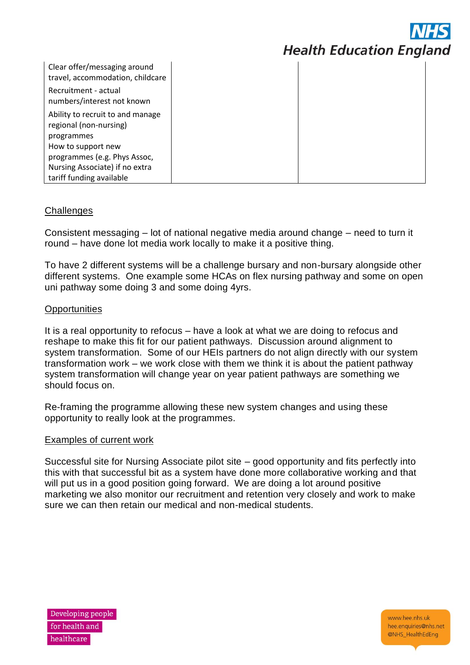| Clear offer/messaging around<br>travel, accommodation, childcare         |  |
|--------------------------------------------------------------------------|--|
| Recruitment - actual<br>numbers/interest not known                       |  |
| Ability to recruit to and manage<br>regional (non-nursing)<br>programmes |  |
| How to support new                                                       |  |
| programmes (e.g. Phys Assoc,                                             |  |
| Nursing Associate) if no extra                                           |  |
| tariff funding available                                                 |  |

### **Challenges**

Consistent messaging – lot of national negative media around change – need to turn it round – have done lot media work locally to make it a positive thing.

To have 2 different systems will be a challenge bursary and non-bursary alongside other different systems. One example some HCAs on flex nursing pathway and some on open uni pathway some doing 3 and some doing 4yrs.

### **Opportunities**

It is a real opportunity to refocus – have a look at what we are doing to refocus and reshape to make this fit for our patient pathways. Discussion around alignment to system transformation. Some of our HEIs partners do not align directly with our system transformation work – we work close with them we think it is about the patient pathway system transformation will change year on year patient pathways are something we should focus on.

Re-framing the programme allowing these new system changes and using these opportunity to really look at the programmes.

### Examples of current work

Successful site for Nursing Associate pilot site – good opportunity and fits perfectly into this with that successful bit as a system have done more collaborative working and that will put us in a good position going forward. We are doing a lot around positive marketing we also monitor our recruitment and retention very closely and work to make sure we can then retain our medical and non-medical students.

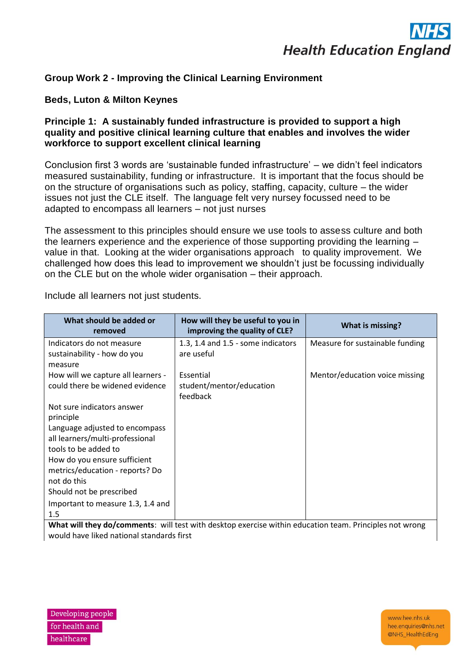

# **Group Work 2 - Improving the Clinical Learning Environment**

**Beds, Luton & Milton Keynes**

### **Principle 1: A sustainably funded infrastructure is provided to support a high quality and positive clinical learning culture that enables and involves the wider workforce to support excellent clinical learning**

Conclusion first 3 words are 'sustainable funded infrastructure' – we didn't feel indicators measured sustainability, funding or infrastructure. It is important that the focus should be on the structure of organisations such as policy, staffing, capacity, culture – the wider issues not just the CLE itself. The language felt very nursey focussed need to be adapted to encompass all learners – not just nurses

The assessment to this principles should ensure we use tools to assess culture and both the learners experience and the experience of those supporting providing the learning – value in that. Looking at the wider organisations approach to quality improvement. We challenged how does this lead to improvement we shouldn't just be focussing individually on the CLE but on the whole wider organisation – their approach.

| What should be added or<br>removed                                                                                                                                                                                     | How will they be useful to you in<br>improving the quality of CLE? | What is missing?                |
|------------------------------------------------------------------------------------------------------------------------------------------------------------------------------------------------------------------------|--------------------------------------------------------------------|---------------------------------|
| Indicators do not measure<br>sustainability - how do you<br>measure                                                                                                                                                    | 1.3, 1.4 and 1.5 - some indicators<br>are useful                   | Measure for sustainable funding |
| How will we capture all learners -<br>could there be widened evidence                                                                                                                                                  | Essential<br>student/mentor/education<br>feedback                  | Mentor/education voice missing  |
| Not sure indicators answer<br>principle<br>Language adjusted to encompass<br>all learners/multi-professional<br>tools to be added to<br>How do you ensure sufficient<br>metrics/education - reports? Do<br>not do this |                                                                    |                                 |
| Should not be prescribed<br>Important to measure 1.3, 1.4 and<br>1.5                                                                                                                                                   |                                                                    |                                 |

Include all learners not just students.

**What will they do/comments**: will test with desktop exercise within education team. Principles not wrong would have liked national standards first

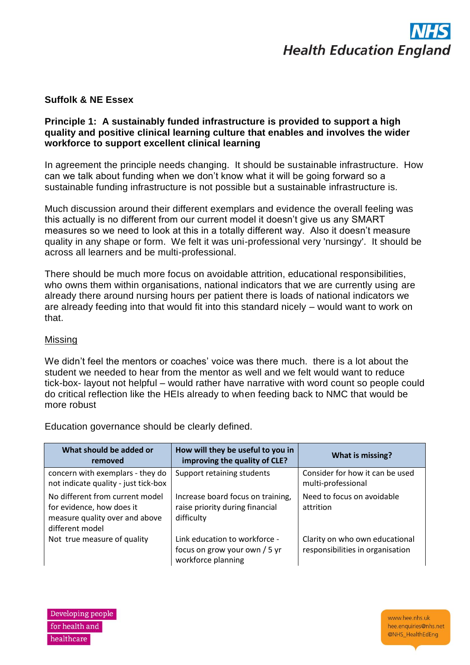

### **Suffolk & NE Essex**

### **Principle 1: A sustainably funded infrastructure is provided to support a high quality and positive clinical learning culture that enables and involves the wider workforce to support excellent clinical learning**

In agreement the principle needs changing. It should be sustainable infrastructure. How can we talk about funding when we don't know what it will be going forward so a sustainable funding infrastructure is not possible but a sustainable infrastructure is.

Much discussion around their different exemplars and evidence the overall feeling was this actually is no different from our current model it doesn't give us any SMART measures so we need to look at this in a totally different way. Also it doesn't measure quality in any shape or form. We felt it was uni-professional very 'nursingy'. It should be across all learners and be multi-professional.

There should be much more focus on avoidable attrition, educational responsibilities, who owns them within organisations, national indicators that we are currently using are already there around nursing hours per patient there is loads of national indicators we are already feeding into that would fit into this standard nicely – would want to work on that.

### Missing

We didn't feel the mentors or coaches' voice was there much. there is a lot about the student we needed to hear from the mentor as well and we felt would want to reduce tick-box- layout not helpful – would rather have narrative with word count so people could do critical reflection like the HEIs already to when feeding back to NMC that would be more robust

**What should be added or removed How will they be useful to you in improving the quality of CLE? What is missing?** concern with exemplars - they do not indicate quality - just tick-box Support retaining students  $\Box$  Consider for how it can be used multi-professional No different from current model for evidence, how does it measure quality over and above different model Increase board focus on training, raise priority during financial difficulty Need to focus on avoidable attrition Not true measure of quality  $\vert$  Link education to workforce focus on grow your own / 5 yr workforce planning Clarity on who own educational responsibilities in organisation

Education governance should be clearly defined.

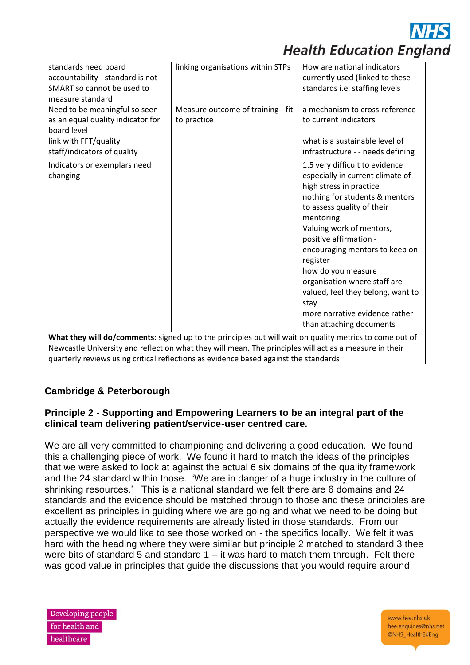| standards need board<br>accountability - standard is not<br>SMART so cannot be used to<br>measure standard | linking organisations within STPs                | How are national indicators<br>currently used (linked to these<br>standards i.e. staffing levels                                                                                                                                                                                                                                                                                                                    |
|------------------------------------------------------------------------------------------------------------|--------------------------------------------------|---------------------------------------------------------------------------------------------------------------------------------------------------------------------------------------------------------------------------------------------------------------------------------------------------------------------------------------------------------------------------------------------------------------------|
| Need to be meaningful so seen<br>as an equal quality indicator for<br>board level                          | Measure outcome of training - fit<br>to practice | a mechanism to cross-reference<br>to current indicators                                                                                                                                                                                                                                                                                                                                                             |
| link with FFT/quality<br>staff/indicators of quality                                                       |                                                  | what is a sustainable level of<br>infrastructure - - needs defining                                                                                                                                                                                                                                                                                                                                                 |
| Indicators or exemplars need<br>changing                                                                   |                                                  | 1.5 very difficult to evidence<br>especially in current climate of<br>high stress in practice<br>nothing for students & mentors<br>to assess quality of their<br>mentoring<br>Valuing work of mentors,<br>positive affirmation -<br>encouraging mentors to keep on<br>register<br>how do you measure<br>organisation where staff are<br>valued, feel they belong, want to<br>stay<br>more narrative evidence rather |
|                                                                                                            |                                                  | than attaching documents                                                                                                                                                                                                                                                                                                                                                                                            |

**What they will do/comments:** signed up to the principles but will wait on quality metrics to come out of Newcastle University and reflect on what they will mean. The principles will act as a measure in their quarterly reviews using critical reflections as evidence based against the standards

# **Cambridge & Peterborough**

### **Principle 2 - Supporting and Empowering Learners to be an integral part of the clinical team delivering patient/service-user centred care.**

We are all very committed to championing and delivering a good education. We found this a challenging piece of work. We found it hard to match the ideas of the principles that we were asked to look at against the actual 6 six domains of the quality framework and the 24 standard within those. 'We are in danger of a huge industry in the culture of shrinking resources.' This is a national standard we felt there are 6 domains and 24 standards and the evidence should be matched through to those and these principles are excellent as principles in guiding where we are going and what we need to be doing but actually the evidence requirements are already listed in those standards. From our perspective we would like to see those worked on - the specifics locally. We felt it was hard with the heading where they were similar but principle 2 matched to standard 3 thee were bits of standard 5 and standard  $1 - it$  was hard to match them through. Felt there was good value in principles that guide the discussions that you would require around

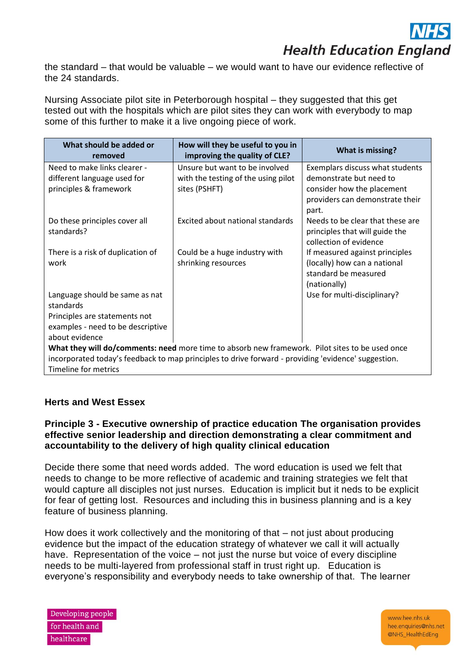

the standard – that would be valuable – we would want to have our evidence reflective of the 24 standards.

Nursing Associate pilot site in Peterborough hospital – they suggested that this get tested out with the hospitals which are pilot sites they can work with everybody to map some of this further to make it a live ongoing piece of work.

| What should be added or<br>removed                                                                  | How will they be useful to you in<br>improving the quality of CLE? | What is missing?                 |
|-----------------------------------------------------------------------------------------------------|--------------------------------------------------------------------|----------------------------------|
| Need to make links clearer -                                                                        | Unsure but want to be involved                                     | Exemplars discuss what students  |
| different language used for                                                                         | with the testing of the using pilot                                | demonstrate but need to          |
| principles & framework                                                                              | sites (PSHFT)                                                      | consider how the placement       |
|                                                                                                     |                                                                    | providers can demonstrate their  |
|                                                                                                     |                                                                    | part.                            |
| Do these principles cover all                                                                       | Excited about national standards                                   | Needs to be clear that these are |
| standards?                                                                                          |                                                                    | principles that will guide the   |
|                                                                                                     |                                                                    | collection of evidence           |
| There is a risk of duplication of                                                                   | Could be a huge industry with                                      | If measured against principles   |
| work                                                                                                | shrinking resources                                                | (locally) how can a national     |
|                                                                                                     |                                                                    | standard be measured             |
|                                                                                                     |                                                                    | (nationally)                     |
| Language should be same as nat                                                                      |                                                                    | Use for multi-disciplinary?      |
| standards                                                                                           |                                                                    |                                  |
| Principles are statements not                                                                       |                                                                    |                                  |
| examples - need to be descriptive                                                                   |                                                                    |                                  |
| about evidence                                                                                      |                                                                    |                                  |
| What they will do/comments: need more time to absorb new framework. Pilot sites to be used once     |                                                                    |                                  |
| incorporated today's feedback to map principles to drive forward - providing 'evidence' suggestion. |                                                                    |                                  |
| Timeline for metrics                                                                                |                                                                    |                                  |

# **Herts and West Essex**

### **Principle 3 - Executive ownership of practice education The organisation provides effective senior leadership and direction demonstrating a clear commitment and accountability to the delivery of high quality clinical education**

Decide there some that need words added. The word education is used we felt that needs to change to be more reflective of academic and training strategies we felt that would capture all disciples not just nurses. Education is implicit but it neds to be explicit for fear of getting lost. Resources and including this in business planning and is a key feature of business planning.

How does it work collectively and the monitoring of that – not just about producing evidence but the impact of the education strategy of whatever we call it will actually have. Representation of the voice – not just the nurse but voice of every discipline needs to be multi-layered from professional staff in trust right up. Education is everyone's responsibility and everybody needs to take ownership of that. The learner

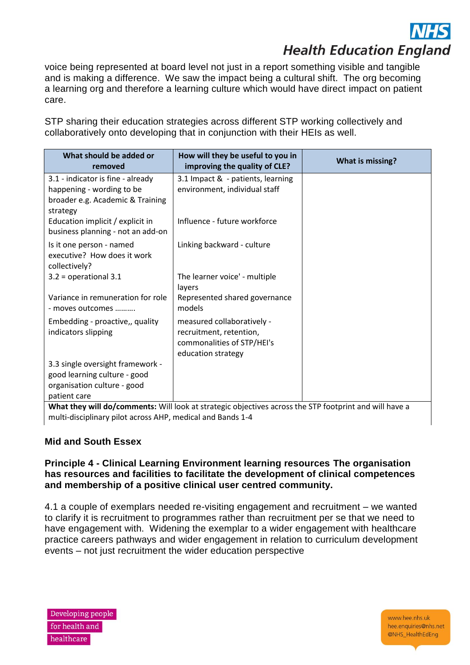

voice being represented at board level not just in a report something visible and tangible and is making a difference. We saw the impact being a cultural shift. The org becoming a learning org and therefore a learning culture which would have direct impact on patient care.

STP sharing their education strategies across different STP working collectively and collaboratively onto developing that in conjunction with their HEIs as well.

| What should be added or<br>removed                                                                             | How will they be useful to you in<br>improving the quality of CLE?                                        | What is missing? |
|----------------------------------------------------------------------------------------------------------------|-----------------------------------------------------------------------------------------------------------|------------------|
| 3.1 - indicator is fine - already<br>happening - wording to be<br>broader e.g. Academic & Training<br>strategy | 3.1 Impact & - patients, learning<br>environment, individual staff                                        |                  |
| Education implicit / explicit in<br>business planning - not an add-on                                          | Influence - future workforce                                                                              |                  |
| Is it one person - named<br>executive? How does it work<br>collectively?                                       | Linking backward - culture                                                                                |                  |
| $3.2$ = operational 3.1                                                                                        | The learner voice' - multiple<br>layers                                                                   |                  |
| Variance in remuneration for role<br>- moves outcomes                                                          | Represented shared governance<br>models                                                                   |                  |
| Embedding - proactive,, quality<br>indicators slipping                                                         | measured collaboratively -<br>recruitment, retention,<br>commonalities of STP/HEI's<br>education strategy |                  |
| 3.3 single oversight framework -                                                                               |                                                                                                           |                  |
| good learning culture - good                                                                                   |                                                                                                           |                  |
| organisation culture - good                                                                                    |                                                                                                           |                  |
| patient care                                                                                                   |                                                                                                           |                  |
|                                                                                                                | What they will do/comments: Will look at strategic objectives across the STP footprint and will have a    |                  |

**What they will do/comments:** Will look at strategic objectives across the STP footprint and will have a multi-disciplinary pilot across AHP, medical and Bands 1-4

# **Mid and South Essex**

### **Principle 4 - Clinical Learning Environment learning resources The organisation has resources and facilities to facilitate the development of clinical competences and membership of a positive clinical user centred community.**

4.1 a couple of exemplars needed re-visiting engagement and recruitment – we wanted to clarify it is recruitment to programmes rather than recruitment per se that we need to have engagement with. Widening the exemplar to a wider engagement with healthcare practice careers pathways and wider engagement in relation to curriculum development events – not just recruitment the wider education perspective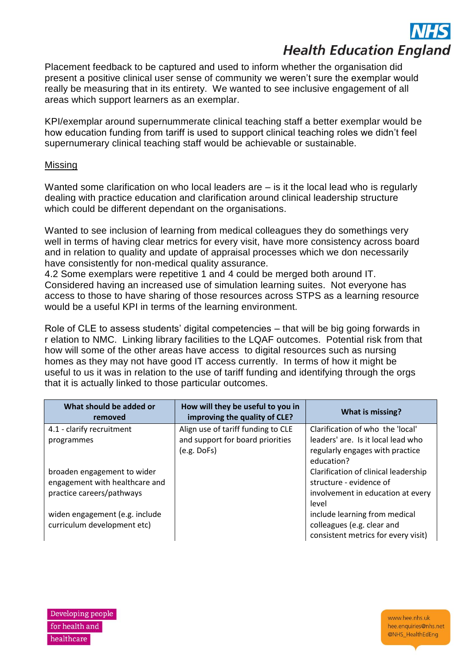Placement feedback to be captured and used to inform whether the organisation did present a positive clinical user sense of community we weren't sure the exemplar would really be measuring that in its entirety. We wanted to see inclusive engagement of all areas which support learners as an exemplar.

KPI/exemplar around supernummerate clinical teaching staff a better exemplar would be how education funding from tariff is used to support clinical teaching roles we didn't feel supernumerary clinical teaching staff would be achievable or sustainable.

# Missing

Wanted some clarification on who local leaders are – is it the local lead who is regularly dealing with practice education and clarification around clinical leadership structure which could be different dependant on the organisations.

Wanted to see inclusion of learning from medical colleagues they do somethings very well in terms of having clear metrics for every visit, have more consistency across board and in relation to quality and update of appraisal processes which we don necessarily have consistently for non-medical quality assurance.

4.2 Some exemplars were repetitive 1 and 4 could be merged both around IT. Considered having an increased use of simulation learning suites. Not everyone has access to those to have sharing of those resources across STPS as a learning resource would be a useful KPI in terms of the learning environment.

Role of CLE to assess students' digital competencies – that will be big going forwards in r elation to NMC. Linking library facilities to the LQAF outcomes. Potential risk from that how will some of the other areas have access to digital resources such as nursing homes as they may not have good IT access currently. In terms of how it might be useful to us it was in relation to the use of tariff funding and identifying through the orgs that it is actually linked to those particular outcomes.

| What should be added or<br>removed | How will they be useful to you in<br>improving the quality of CLE? | What is missing?                     |
|------------------------------------|--------------------------------------------------------------------|--------------------------------------|
| 4.1 - clarify recruitment          | Align use of tariff funding to CLE                                 | Clarification of who the 'local'     |
| programmes                         | and support for board priorities                                   | leaders' are. Is it local lead who   |
|                                    | (e.g. DoFs)                                                        | regularly engages with practice      |
|                                    |                                                                    | education?                           |
| broaden engagement to wider        |                                                                    | Clarification of clinical leadership |
| engagement with healthcare and     |                                                                    | structure - evidence of              |
| practice careers/pathways          |                                                                    | involvement in education at every    |
|                                    |                                                                    | level                                |
| widen engagement (e.g. include     |                                                                    | include learning from medical        |
| curriculum development etc)        |                                                                    | colleagues (e.g. clear and           |
|                                    |                                                                    | consistent metrics for every visit)  |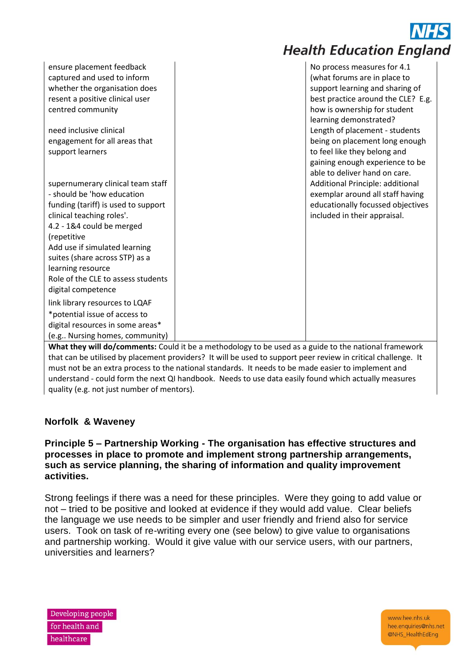|                                                          | <b>Health Education Englan</b>                              |
|----------------------------------------------------------|-------------------------------------------------------------|
| ensure placement feedback<br>captured and used to inform | No process measures for 4.1<br>(what forums are in place to |
| whether the organisation does                            | support learning and sharing of                             |
| resent a positive clinical user                          | best practice around the CLE? E.g.                          |
| centred community                                        | how is ownership for student                                |
|                                                          | learning demonstrated?                                      |
| need inclusive clinical                                  | Length of placement - students                              |
| engagement for all areas that                            | being on placement long enough                              |
| support learners                                         | to feel like they belong and                                |
|                                                          | gaining enough experience to be                             |
|                                                          | able to deliver hand on care.                               |
| supernumerary clinical team staff                        | Additional Principle: additional                            |
| - should be 'how education                               | exemplar around all staff having                            |
| funding (tariff) is used to support                      | educationally focussed objectives                           |
| clinical teaching roles'.                                | included in their appraisal.                                |
| 4.2 - 1&4 could be merged                                |                                                             |
| (repetitive                                              |                                                             |
| Add use if simulated learning                            |                                                             |
| suites (share across STP) as a                           |                                                             |
| learning resource                                        |                                                             |
| Role of the CLE to assess students                       |                                                             |
| digital competence                                       |                                                             |
| link library resources to LQAF                           |                                                             |
| *potential issue of access to                            |                                                             |
| digital resources in some areas*                         |                                                             |
| (e.g Nursing homes, community)                           |                                                             |
|                                                          |                                                             |

**What they will do/comments:** Could it be a methodology to be used as a guide to the national framework that can be utilised by placement providers? It will be used to support peer review in critical challenge. It must not be an extra process to the national standards. It needs to be made easier to implement and understand - could form the next QI handbook. Needs to use data easily found which actually measures quality (e.g. not just number of mentors).

# **Norfolk & Waveney**

**Principle 5 – Partnership Working - The organisation has effective structures and processes in place to promote and implement strong partnership arrangements, such as service planning, the sharing of information and quality improvement activities.** 

Strong feelings if there was a need for these principles. Were they going to add value or not – tried to be positive and looked at evidence if they would add value. Clear beliefs the language we use needs to be simpler and user friendly and friend also for service users. Took on task of re-writing every one (see below) to give value to organisations and partnership working. Would it give value with our service users, with our partners, universities and learners?